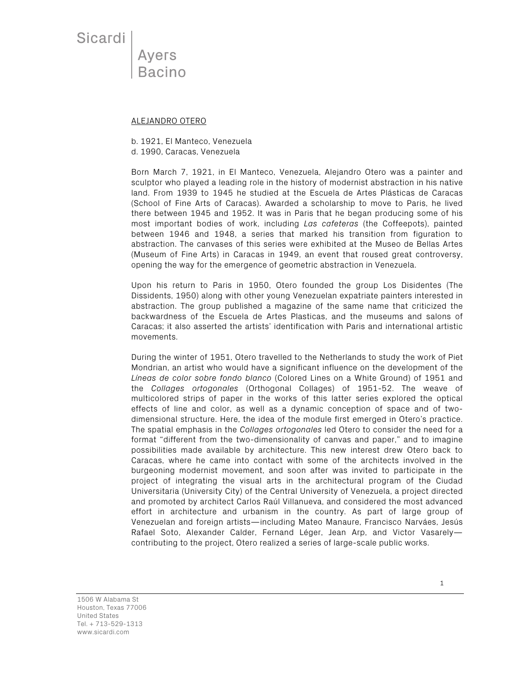Sicardi

Ayers **Bacino** 

## ALEJANDRO OTERO

b. 1921, El Manteco, Venezuela

d. 1990, Caracas, Venezuela

Born March 7, 1921, in El Manteco, Venezuela, Alejandro Otero was a painter and sculptor who played a leading role in the history of modernist abstraction in his native land. From 1939 to 1945 he studied at the Escuela de Artes Plásticas de Caracas (School of Fine Arts of Caracas). Awarded a scholarship to move to Paris, he lived there between 1945 and 1952. It was in Paris that he began producing some of his most important bodies of work, including *Las cafeteras* (the Coffeepots), painted between 1946 and 1948, a series that marked his transition from figuration to abstraction. The canvases of this series were exhibited at the Museo de Bellas Artes (Museum of Fine Arts) in Caracas in 1949, an event that roused great controversy, opening the way for the emergence of geometric abstraction in Venezuela.

Upon his return to Paris in 1950, Otero founded the group Los Disidentes (The Dissidents, 1950) along with other young Venezuelan expatriate painters interested in abstraction. The group published a magazine of the same name that criticized the backwardness of the Escuela de Artes Plasticas, and the museums and salons of Caracas; it also asserted the artists' identification with Paris and international artistic movements.

During the winter of 1951, Otero travelled to the Netherlands to study the work of Piet Mondrian, an artist who would have a significant influence on the development of the *Líneas de color sobre fondo blanco* (Colored Lines on a White Ground) of 1951 and the *Collages ortogonales* (Orthogonal Collages) of 1951-52. The weave of multicolored strips of paper in the works of this latter series explored the optical effects of line and color, as well as a dynamic conception of space and of twodimensional structure. Here, the idea of the module first emerged in Otero's practice. The spatial emphasis in the *Collages ortogonales* led Otero to consider the need for a format "different from the two-dimensionality of canvas and paper," and to imagine possibilities made available by architecture. This new interest drew Otero back to Caracas, where he came into contact with some of the architects involved in the burgeoning modernist movement, and soon after was invited to participate in the project of integrating the visual arts in the architectural program of the Ciudad Universitaria (University City) of the Central University of Venezuela, a project directed and promoted by architect Carlos Raúl Villanueva, and considered the most advanced effort in architecture and urbanism in the country. As part of large group of Venezuelan and foreign artists—including Mateo Manaure, Francisco Narváes, Jesús Rafael Soto, Alexander Calder, Fernand Léger, Jean Arp, and Victor Vasarely contributing to the project, Otero realized a series of large-scale public works.